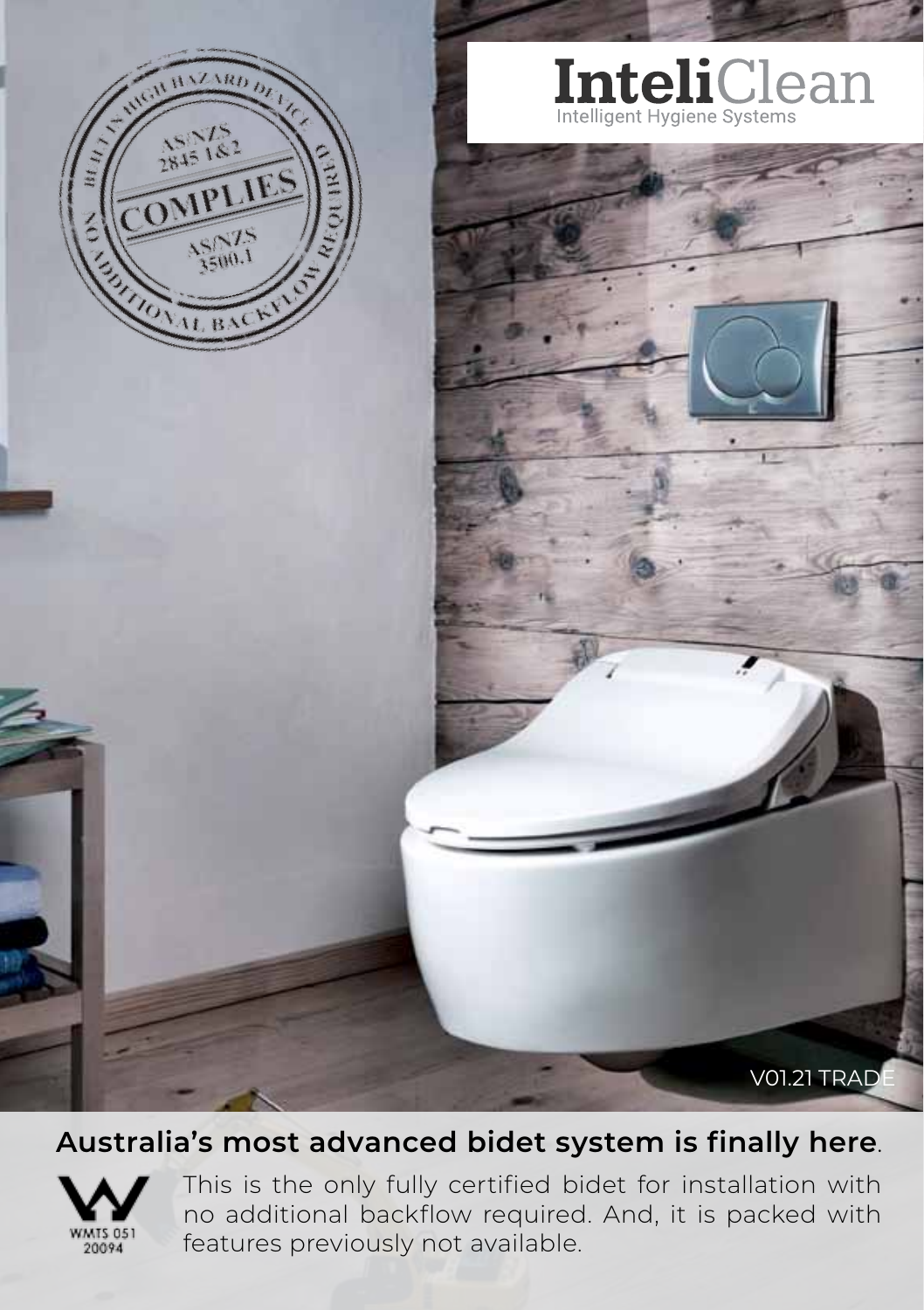

# Inteligent Hygiene Systems

**V01.21 TRADE** 

#### **Australia's most advanced bidet system is finally here**.



This is the only fully certified bidet for installation with no additional backflow required. And, it is packed with features previously not available.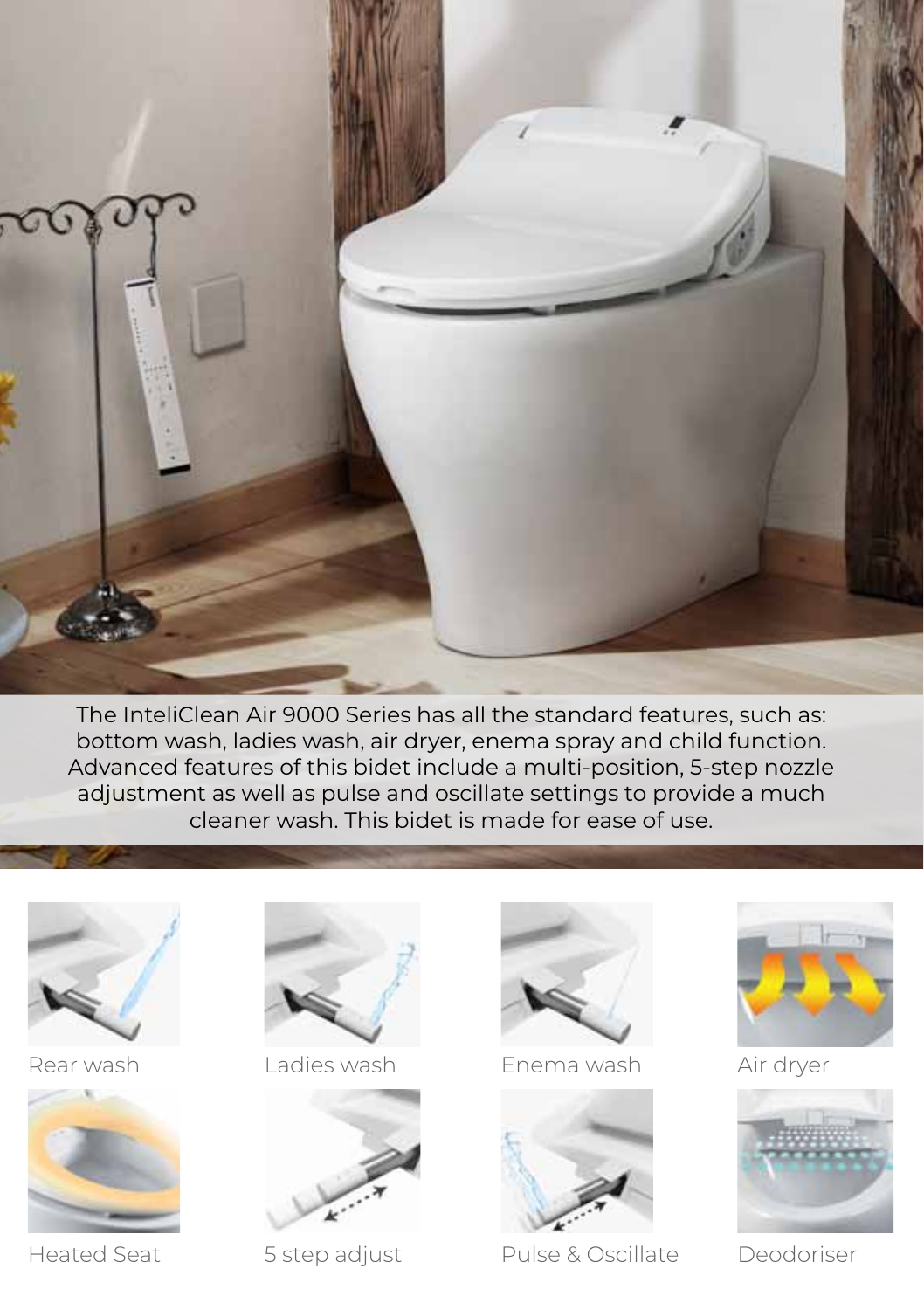

The InteliClean Air 9000 Series has all the standard features, such as: bottom wash, ladies wash, air dryer, enema spray and child function. Advanced features of this bidet include a multi-position, 5-step nozzle adjustment as well as pulse and oscillate settings to provide a much cleaner wash. This bidet is made for ease of use.



Rear wash



Heated Seat



Ladies wash



5 step adjust



Enema wash



Pulse & Oscillate



Air dryer



Deodoriser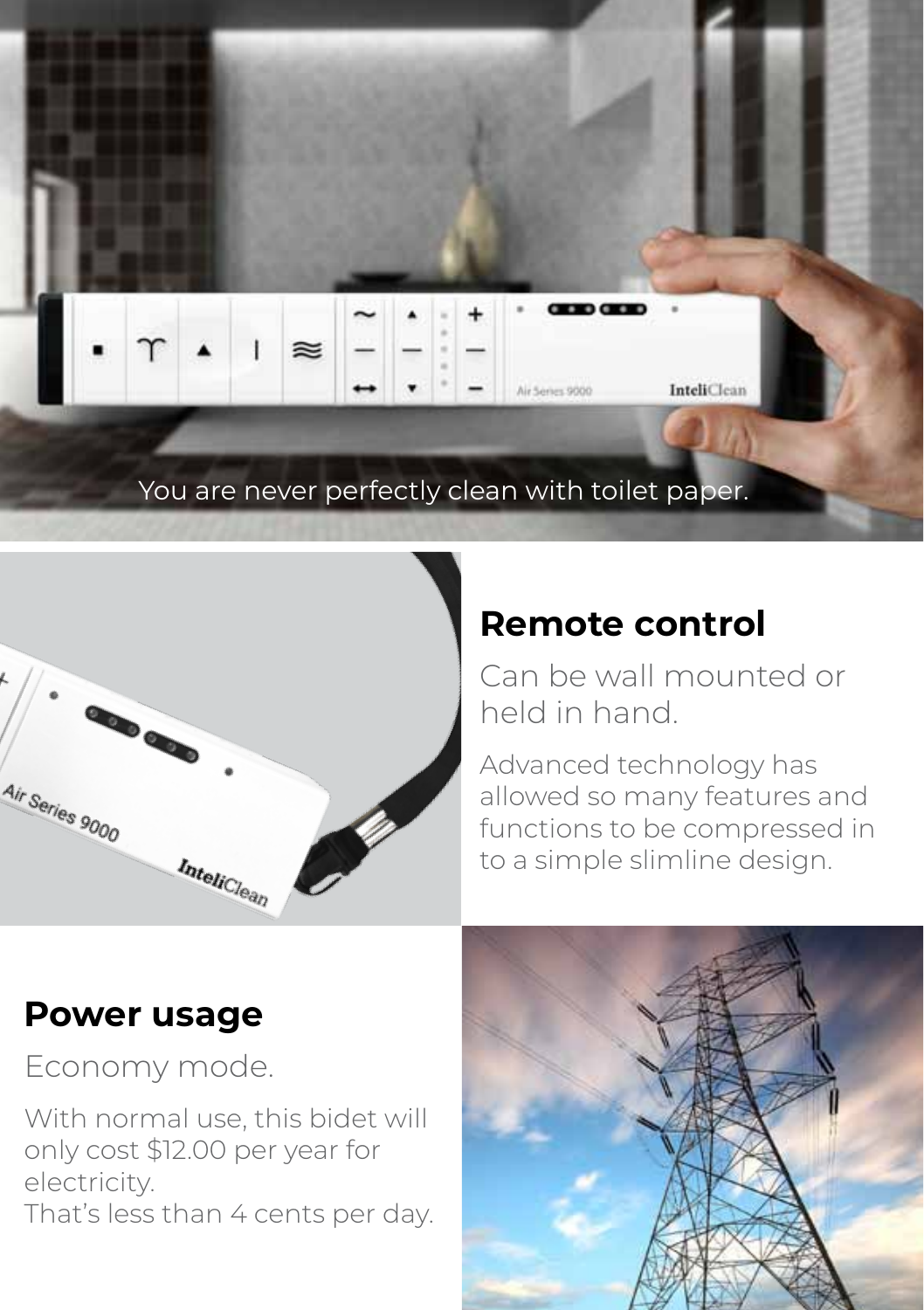



#### **Remote control**

Can be wall mounted or held in hand.

Advanced technology has allowed so many features and functions to be compressed in to a simple slimline design.

#### **Power usage**

Economy mode.

With normal use, this bidet will only cost \$12.00 per year for electricity. That's less than 4 cents per day.

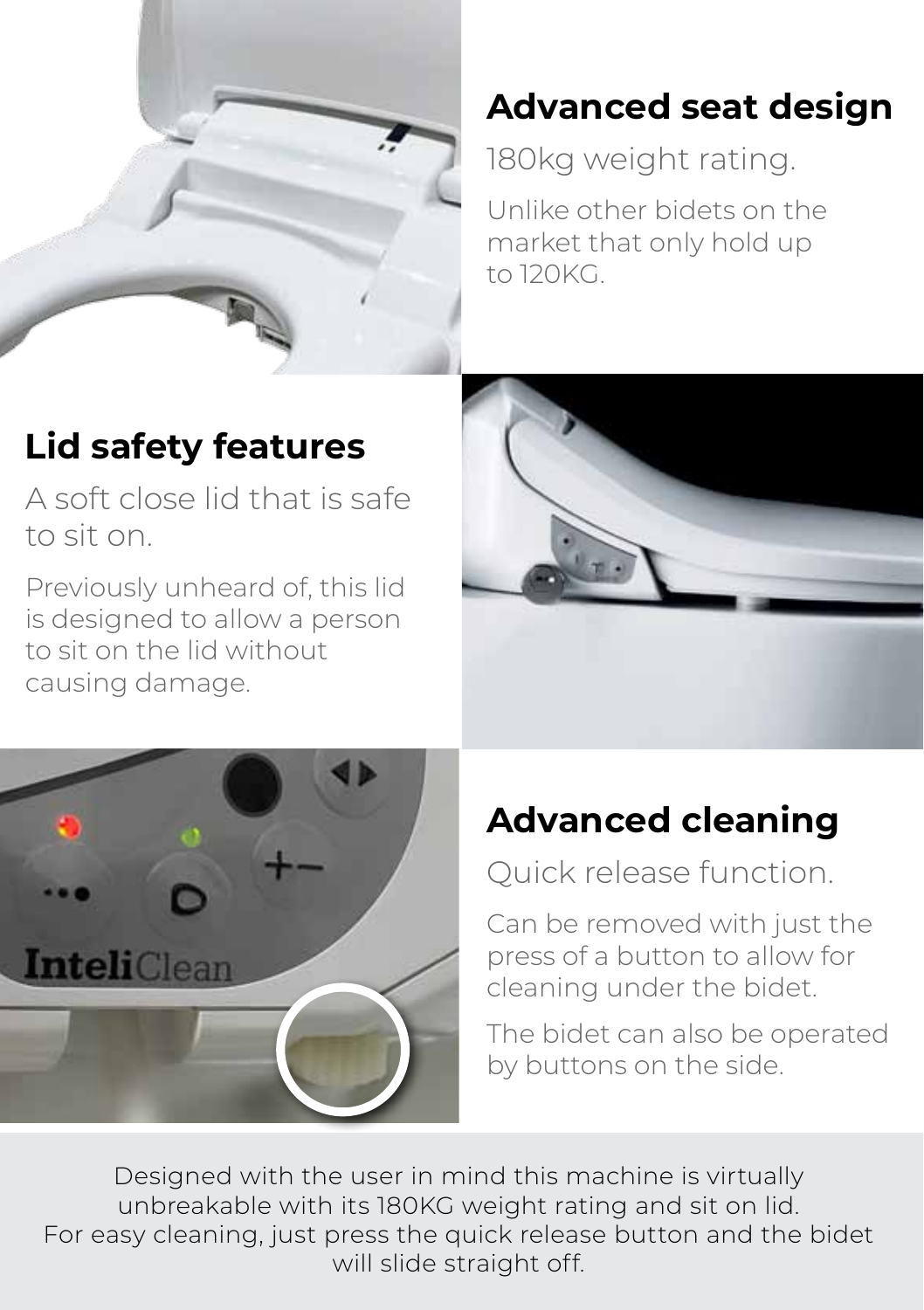

#### **Advanced seat design**

180kg weight rating.

Unlike other bidets on the market that only hold up to 120KG.

#### **Lid safety features**

A soft close lid that is safe to sit on.

Previously unheard of, this lid is designed to allow a person to sit on the lid without causing damage.





#### **Advanced cleaning**

Quick release function.

Can be removed with just the press of a button to allow for cleaning under the bidet.

The bidet can also be operated by buttons on the side.

Designed with the user in mind this machine is virtually unbreakable with its 180KG weight rating and sit on lid. For easy cleaning, just press the quick release button and the bidet will slide straight off.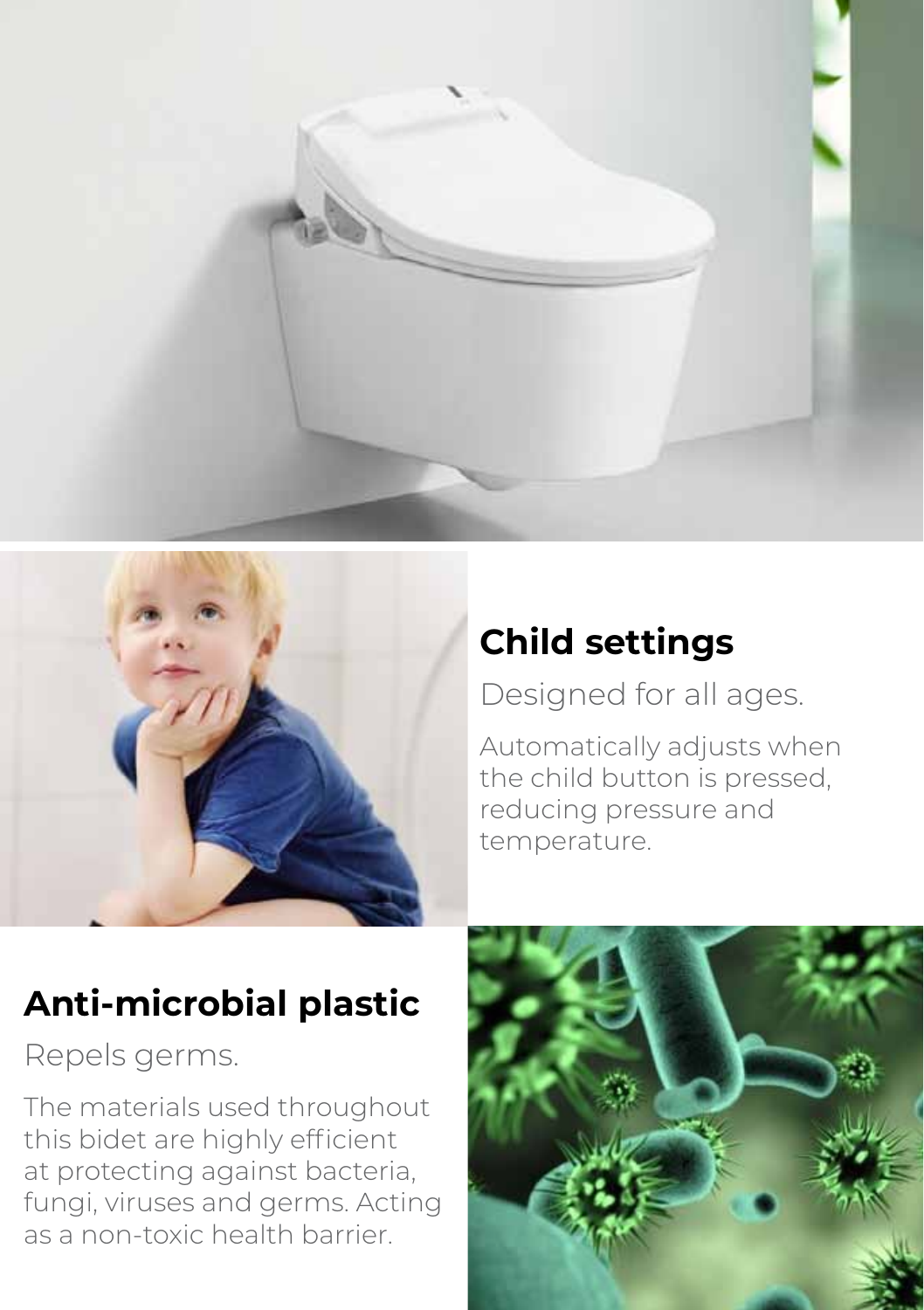



#### **Child settings**

Designed for all ages.

Automatically adjusts when the child button is pressed, reducing pressure and temperature.

### **Anti-microbial plastic**

Repels germs.

The materials used throughout this bidet are highly efficient at protecting against bacteria, fungi, viruses and germs. Acting as a non-toxic health barrier.

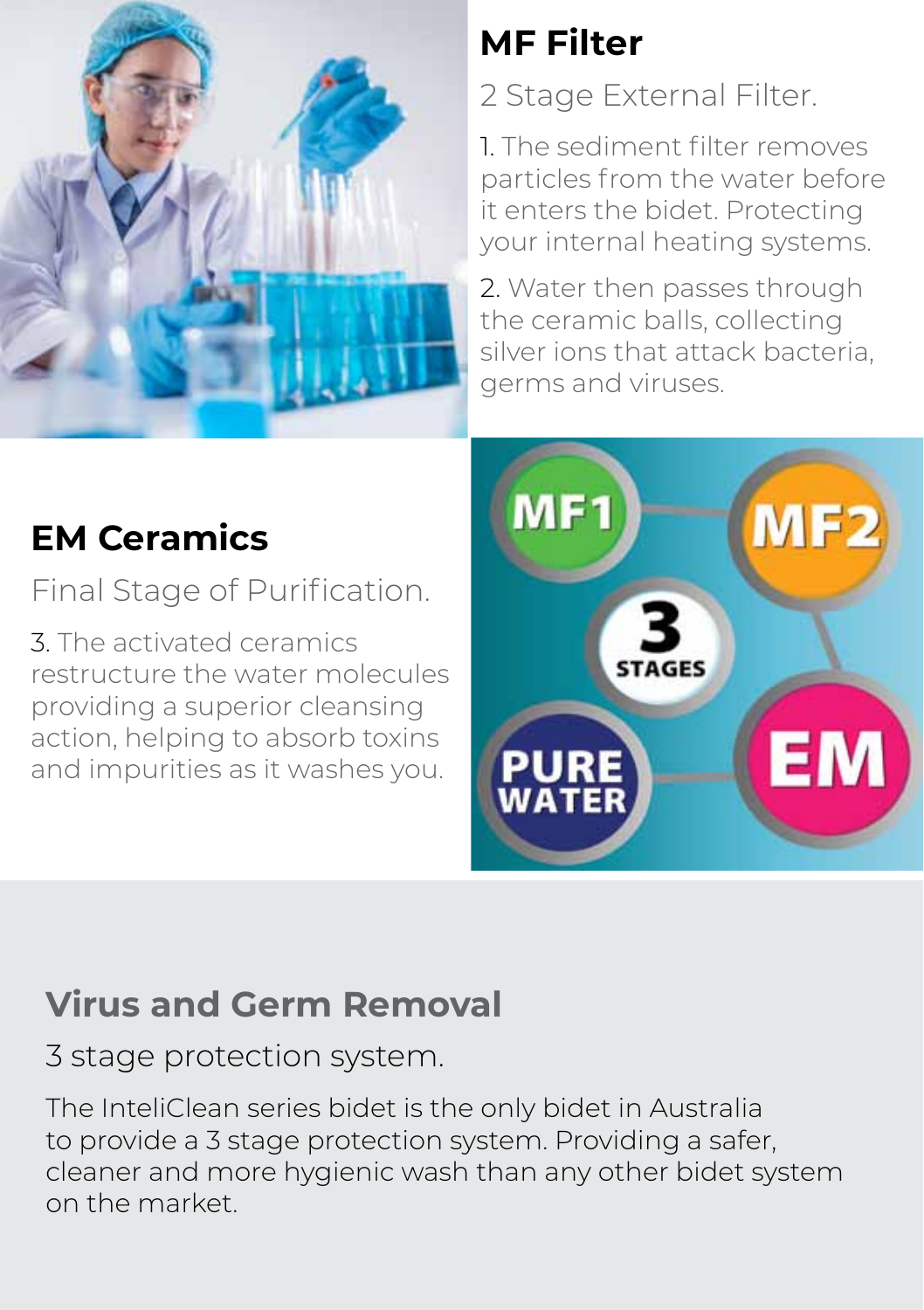

# **MF Filter**

2 Stage External Filter.

1. The sediment filter removes particles from the water before it enters the bidet. Protecting your internal heating systems.

2. Water then passes through the ceramic balls, collecting silver ions that attack bacteria, germs and viruses.



## **EM Ceramics**

Final Stage of Purification.

3. The activated ceramics restructure the water molecules providing a superior cleansing action, helping to absorb toxins and impurities as it washes you.

#### **Virus and Germ Removal**

3 stage protection system.

The InteliClean series bidet is the only bidet in Australia to provide a 3 stage protection system. Providing a safer, cleaner and more hygienic wash than any other bidet system on the market.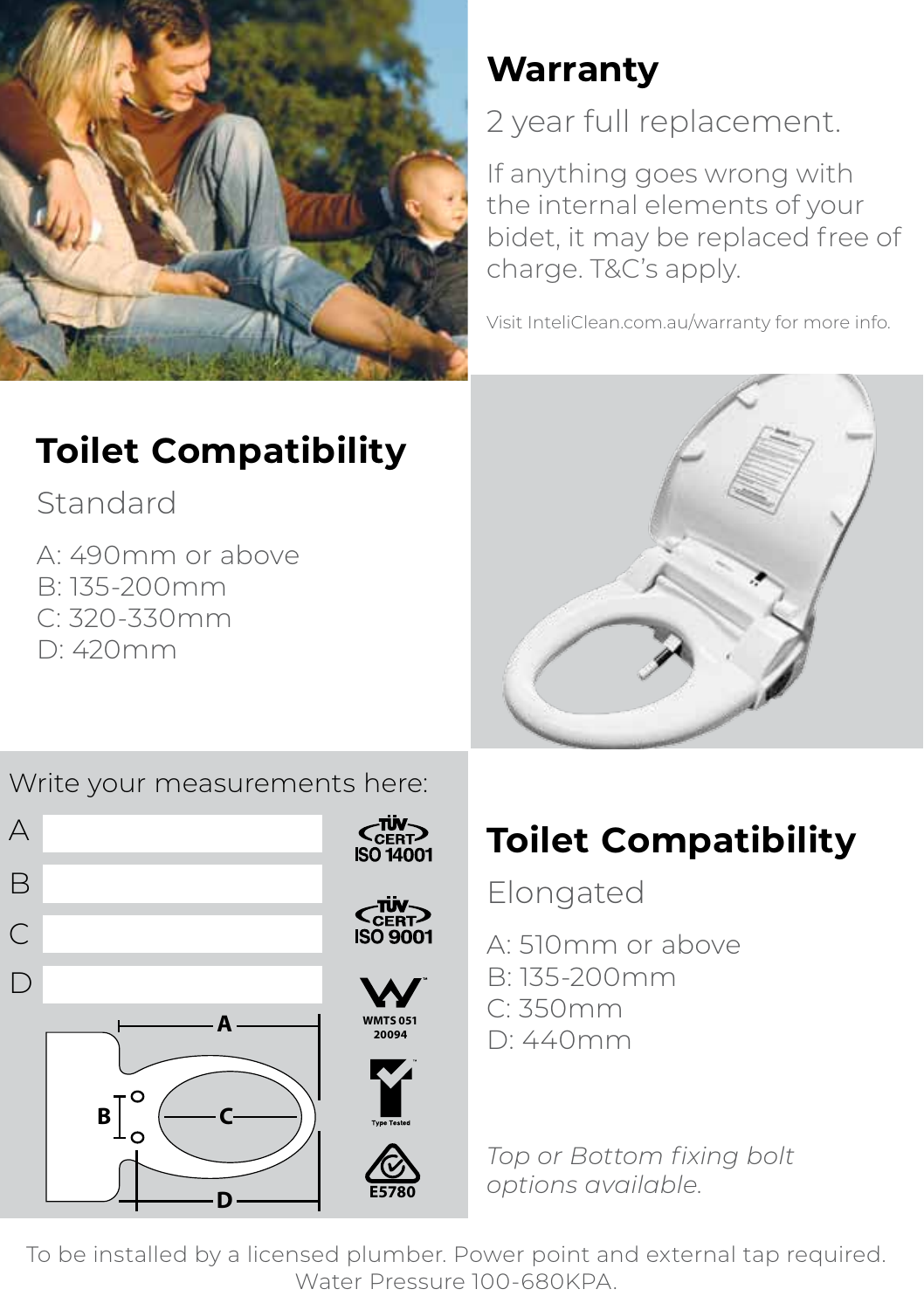

## **Toilet Compatibility**

Standard

A: 490mm or above B: 135-200mm C: 320-330mm D: 420mm

#### Write your measurements here:



### **Warranty**

2 year full replacement.

If anything goes wrong with the internal elements of your bidet, it may be replaced free of charge. T&C's apply.

Visit InteliClean.com.au/warranty for more info.



## **Toilet Compatibility**

Elongated

- A: 510mm or above
- B: 135-200mm
- C: 350mm
- D: 440mm

*Top or Bottom fixing bolt options available.*

To be installed by a licensed plumber. Power point and external tap required. Water Pressure 100-680KPA.